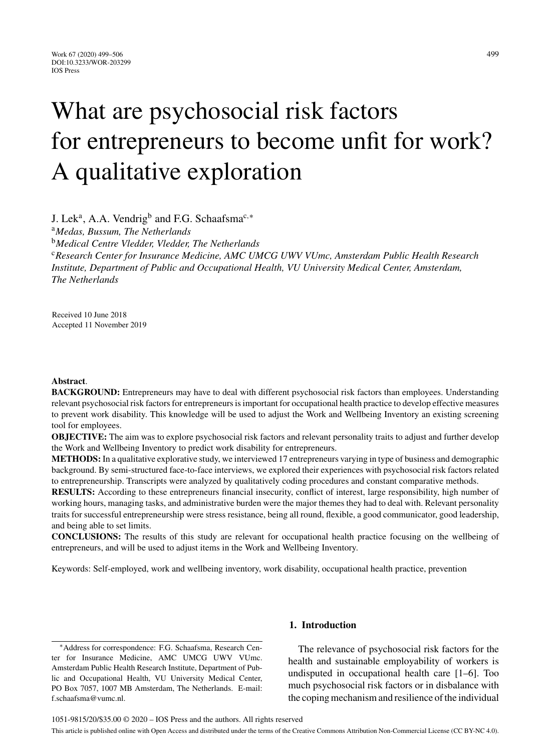# What are psychosocial risk factors for entrepreneurs to become unfit for work? A qualitative exploration

J. Lek<sup>a</sup>, A.A. Vendrig<sup>b</sup> and F.G. Schaafsma<sup>c,\*</sup>

<sup>a</sup>*Medas, Bussum, The Netherlands*

<sup>b</sup>*Medical Centre Vledder, Vledder, The Netherlands*

<sup>c</sup>*Research Center for Insurance Medicine, AMC UMCG UWV VUmc, Amsterdam Public Health Research Institute, Department of Public and Occupational Health, VU University Medical Center, Amsterdam, The Netherlands*

Received 10 June 2018 Accepted 11 November 2019

### **Abstract**.

**BACKGROUND:** Entrepreneurs may have to deal with different psychosocial risk factors than employees. Understanding relevant psychosocial risk factors for entrepreneurs is important for occupational health practice to develop effective measures to prevent work disability. This knowledge will be used to adjust the Work and Wellbeing Inventory an existing screening tool for employees.

**OBJECTIVE:** The aim was to explore psychosocial risk factors and relevant personality traits to adjust and further develop the Work and Wellbeing Inventory to predict work disability for entrepreneurs.

**METHODS:** In a qualitative explorative study, we interviewed 17 entrepreneurs varying in type of business and demographic background. By semi-structured face-to-face interviews, we explored their experiences with psychosocial risk factors related to entrepreneurship. Transcripts were analyzed by qualitatively coding procedures and constant comparative methods.

**RESULTS:** According to these entrepreneurs financial insecurity, conflict of interest, large responsibility, high number of working hours, managing tasks, and administrative burden were the major themes they had to deal with. Relevant personality traits for successful entrepreneurship were stress resistance, being all round, flexible, a good communicator, good leadership, and being able to set limits.

**CONCLUSIONS:** The results of this study are relevant for occupational health practice focusing on the wellbeing of entrepreneurs, and will be used to adjust items in the Work and Wellbeing Inventory.

Keywords: Self-employed, work and wellbeing inventory, work disability, occupational health practice, prevention

∗Address for correspondence: F.G. Schaafsma, Research Center for Insurance Medicine, AMC UMCG UWV VUmc. Amsterdam Public Health Research Institute, Department of Public and Occupational Health, VU University Medical Center, PO Box 7057, 1007 MB Amsterdam, The Netherlands. E-mail: [f.schaafsma@vumc.nl](mailto:f.schaafsma@vumc.nl).

## **1. Introduction**

The relevance of psychosocial risk factors for the health and sustainable employability of workers is undisputed in occupational health care [1–6]. Too much psychosocial risk factors or in disbalance with the coping mechanism and resilience of the individual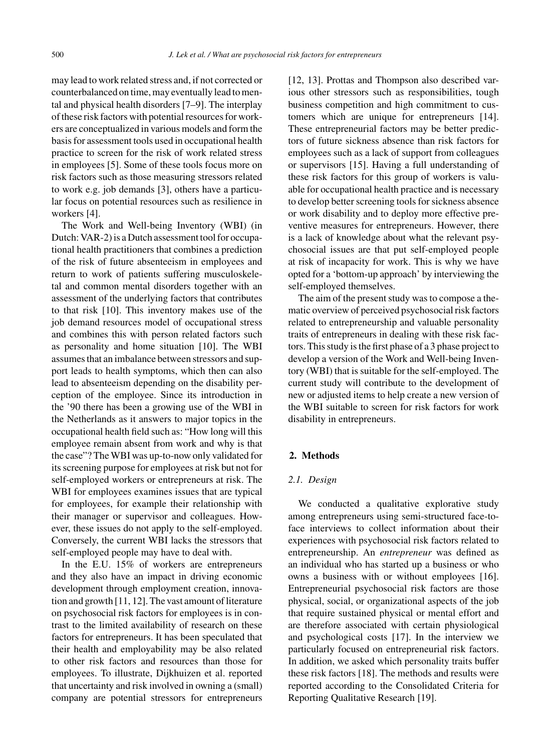may lead to work related stress and, if not corrected or counterbalanced on time, may eventually lead to mental and physical health disorders [7–9]. The interplay of these risk factors with potential resources for workers are conceptualized in various models and form the basis for assessment tools used in occupational health practice to screen for the risk of work related stress in employees [5]. Some of these tools focus more on risk factors such as those measuring stressors related to work e.g. job demands [3], others have a particular focus on potential resources such as resilience in workers [4].

The Work and Well-being Inventory (WBI) (in Dutch: VAR-2) is a Dutch assessment tool for occupational health practitioners that combines a prediction of the risk of future absenteeism in employees and return to work of patients suffering musculoskeletal and common mental disorders together with an assessment of the underlying factors that contributes to that risk [10]. This inventory makes use of the job demand resources model of occupational stress and combines this with person related factors such as personality and home situation [10]. The WBI assumes that an imbalance between stressors and support leads to health symptoms, which then can also lead to absenteeism depending on the disability perception of the employee. Since its introduction in the '90 there has been a growing use of the WBI in the Netherlands as it answers to major topics in the occupational health field such as: "How long will this employee remain absent from work and why is that the case"? The WBI was up-to-now only validated for its screening purpose for employees at risk but not for self-employed workers or entrepreneurs at risk. The WBI for employees examines issues that are typical for employees, for example their relationship with their manager or supervisor and colleagues. However, these issues do not apply to the self-employed. Conversely, the current WBI lacks the stressors that self-employed people may have to deal with.

In the E.U. 15% of workers are entrepreneurs and they also have an impact in driving economic development through employment creation, innovation and growth [11, 12]. The vast amount of literature on psychosocial risk factors for employees is in contrast to the limited availability of research on these factors for entrepreneurs. It has been speculated that their health and employability may be also related to other risk factors and resources than those for employees. To illustrate, Dijkhuizen et al. reported that uncertainty and risk involved in owning a (small) company are potential stressors for entrepreneurs [12, 13]. Prottas and Thompson also described various other stressors such as responsibilities, tough business competition and high commitment to customers which are unique for entrepreneurs [14]. These entrepreneurial factors may be better predictors of future sickness absence than risk factors for employees such as a lack of support from colleagues or supervisors [15]. Having a full understanding of these risk factors for this group of workers is valuable for occupational health practice and is necessary to develop better screening tools for sickness absence or work disability and to deploy more effective preventive measures for entrepreneurs. However, there is a lack of knowledge about what the relevant psychosocial issues are that put self-employed people at risk of incapacity for work. This is why we have opted for a 'bottom-up approach' by interviewing the self-employed themselves.

The aim of the present study was to compose a thematic overview of perceived psychosocial risk factors related to entrepreneurship and valuable personality traits of entrepreneurs in dealing with these risk factors. This study is the first phase of a 3 phase project to develop a version of the Work and Well-being Inventory (WBI) that is suitable for the self-employed. The current study will contribute to the development of new or adjusted items to help create a new version of the WBI suitable to screen for risk factors for work disability in entrepreneurs.

### **2. Methods**

#### *2.1. Design*

We conducted a qualitative explorative study among entrepreneurs using semi-structured face-toface interviews to collect information about their experiences with psychosocial risk factors related to entrepreneurship. An *entrepreneur* was defined as an individual who has started up a business or who owns a business with or without employees [16]. Entrepreneurial psychosocial risk factors are those physical, social, or organizational aspects of the job that require sustained physical or mental effort and are therefore associated with certain physiological and psychological costs [17]. In the interview we particularly focused on entrepreneurial risk factors. In addition, we asked which personality traits buffer these risk factors [18]. The methods and results were reported according to the Consolidated Criteria for Reporting Qualitative Research [19].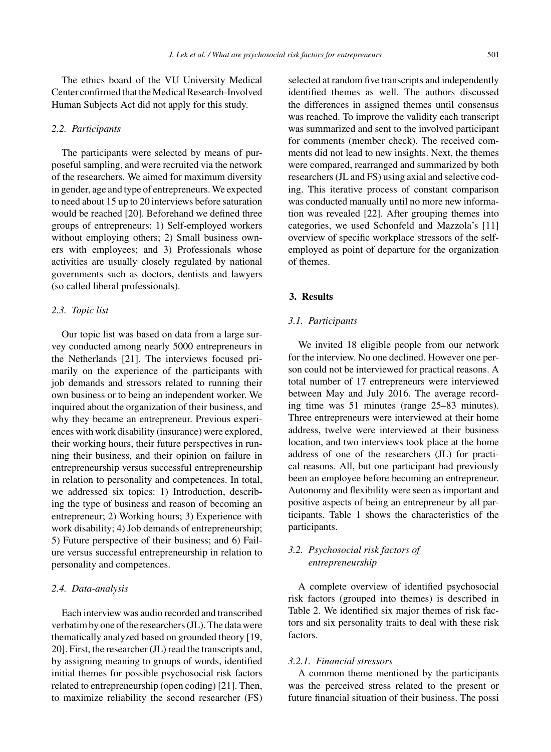The ethics board of the VU University Medical Center confirmed that the Medical Research-Involved Human Subjects Act did not apply for this study.

#### *2.2. Participants*

The participants were selected by means of purposeful sampling, and were recruited via the network of the researchers. We aimed for maximum diversity in gender, age and type of entrepreneurs. We expected to need about 15 up to 20 interviews before saturation would be reached [20]. Beforehand we defined three groups of entrepreneurs: 1) Self-employed workers without employing others; 2) Small business owners with employees; and 3) Professionals whose activities are usually closely regulated by national governments such as doctors, dentists and lawyers (so called liberal professionals).

## *2.3. Topic list*

Our topic list was based on data from a large survey conducted among nearly 5000 entrepreneurs in the Netherlands [21]. The interviews focused primarily on the experience of the participants with job demands and stressors related to running their own business or to being an independent worker. We inquired about the organization of their business, and why they became an entrepreneur. Previous experiences with work disability (insurance) were explored, their working hours, their future perspectives in running their business, and their opinion on failure in entrepreneurship versus successful entrepreneurship in relation to personality and competences. In total, we addressed six topics: 1) Introduction, describing the type of business and reason of becoming an entrepreneur; 2) Working hours; 3) Experience with work disability; 4) Job demands of entrepreneurship; 5) Future perspective of their business; and 6) Failure versus successful entrepreneurship in relation to personality and competences.

#### *2.4. Data-analysis*

Each interview was audio recorded and transcribed verbatim by one of the researchers (JL). The data were thematically analyzed based on grounded theory [19, 20]. First, the researcher (JL) read the transcripts and, by assigning meaning to groups of words, identified initial themes for possible psychosocial risk factors related to entrepreneurship (open coding) [21]. Then, to maximize reliability the second researcher (FS)

selected at random five transcripts and independently identified themes as well. The authors discussed the differences in assigned themes until consensus was reached. To improve the validity each transcript was summarized and sent to the involved participant for comments (member check). The received comments did not lead to new insights. Next, the themes were compared, rearranged and summarized by both researchers (JL and FS) using axial and selective coding. This iterative process of constant comparison was conducted manually until no more new information was revealed [22]. After grouping themes into categories, we used Schonfeld and Mazzola's [11] overview of specific workplace stressors of the selfemployed as point of departure for the organization of themes.

## **3. Results**

## *3.1. Participants*

We invited 18 eligible people from our network for the interview. No one declined. However one person could not be interviewed for practical reasons. A total number of 17 entrepreneurs were interviewed between May and July 2016. The average recording time was 51 minutes (range 25–83 minutes). Three entrepreneurs were interviewed at their home address, twelve were interviewed at their business location, and two interviews took place at the home address of one of the researchers (JL) for practical reasons. All, but one participant had previously been an employee before becoming an entrepreneur. Autonomy and flexibility were seen as important and positive aspects of being an entrepreneur by all participants. Table 1 shows the characteristics of the participants.

## *3.2. Psychosocial risk factors of entrepreneurship*

A complete overview of identified psychosocial risk factors (grouped into themes) is described in Table 2. We identified six major themes of risk factors and six personality traits to deal with these risk factors.

#### *3.2.1. Financial stressors*

A common theme mentioned by the participants was the perceived stress related to the present or future financial situation of their business. The possi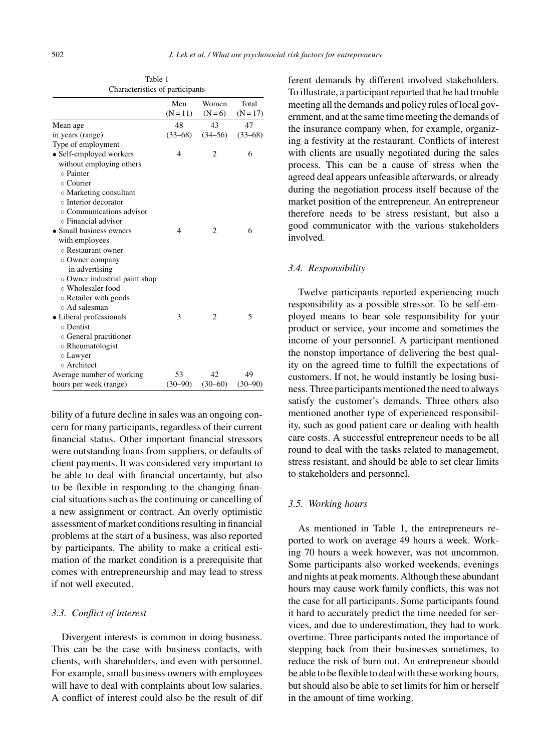|                                | Men<br>$(N = 11)$ | Women<br>$(N=6)$ | Total<br>$(N = 17)$ |
|--------------------------------|-------------------|------------------|---------------------|
| Mean age                       | 48                | 43               | 47                  |
| in years (range)               | $(33-68)$         | $(34 - 56)$      | $(33-68)$           |
| Type of employment             |                   |                  |                     |
| • Self-employed workers        | 4                 | 2                | 6                   |
| without employing others       |                   |                  |                     |
| o Painter                      |                   |                  |                     |
| ⊙ Courier                      |                   |                  |                     |
| ○ Marketing consultant         |                   |                  |                     |
| o Interior decorator           |                   |                  |                     |
| $\circ$ Communications advisor |                   |                  |                     |
| o Financial advisor            |                   |                  |                     |
| • Small business owners        | 4                 | $\overline{c}$   | 6                   |
| with employees                 |                   |                  |                     |
| ○ Restaurant owner             |                   |                  |                     |
| • Owner company                |                   |                  |                     |
| in advertising                 |                   |                  |                     |
| o Owner industrial paint shop  |                   |                  |                     |
| ○ Wholesaler food              |                   |                  |                     |
| o Retailer with goods          |                   |                  |                     |
| ⊙ Ad salesman                  |                   |                  |                     |
| · Liberal professionals        | 3                 | $\overline{c}$   | 5                   |
| o Dentist                      |                   |                  |                     |
| • General practitioner         |                   |                  |                     |
| o Rheumatologist               |                   |                  |                     |
| $\circ$ Lawyer                 |                   |                  |                     |
| o Architect                    |                   |                  |                     |
| Average number of working      | 53                | 42               | 49                  |
| hours per week (range)         | $(30 - 90)$       | $(30-60)$        | $(30 - 90)$         |

Table 1 Characteristics of participants

bility of a future decline in sales was an ongoing concern for many participants, regardless of their current financial status. Other important financial stressors were outstanding loans from suppliers, or defaults of client payments. It was considered very important to be able to deal with financial uncertainty, but also to be flexible in responding to the changing financial situations such as the continuing or cancelling of a new assignment or contract. An overly optimistic assessment of market conditions resulting in financial problems at the start of a business, was also reported by participants. The ability to make a critical estimation of the market condition is a prerequisite that comes with entrepreneurship and may lead to stress if not well executed.

#### *3.3. Conflict of interest*

Divergent interests is common in doing business. This can be the case with business contacts, with clients, with shareholders, and even with personnel. For example, small business owners with employees will have to deal with complaints about low salaries. A conflict of interest could also be the result of dif ferent demands by different involved stakeholders. To illustrate, a participant reported that he had trouble meeting all the demands and policy rules of local government, and at the same time meeting the demands of the insurance company when, for example, organizing a festivity at the restaurant. Conflicts of interest with clients are usually negotiated during the sales process. This can be a cause of stress when the agreed deal appears unfeasible afterwards, or already during the negotiation process itself because of the market position of the entrepreneur. An entrepreneur therefore needs to be stress resistant, but also a good communicator with the various stakeholders involved.

## *3.4. Responsibility*

Twelve participants reported experiencing much responsibility as a possible stressor. To be self-employed means to bear sole responsibility for your product or service, your income and sometimes the income of your personnel. A participant mentioned the nonstop importance of delivering the best quality on the agreed time to fulfill the expectations of customers. If not, he would instantly be losing business. Three participants mentioned the need to always satisfy the customer's demands. Three others also mentioned another type of experienced responsibility, such as good patient care or dealing with health care costs. A successful entrepreneur needs to be all round to deal with the tasks related to management, stress resistant, and should be able to set clear limits to stakeholders and personnel.

## *3.5. Working hours*

As mentioned in Table 1, the entrepreneurs reported to work on average 49 hours a week. Working 70 hours a week however, was not uncommon. Some participants also worked weekends, evenings and nights at peak moments. Although these abundant hours may cause work family conflicts, this was not the case for all participants. Some participants found it hard to accurately predict the time needed for services, and due to underestimation, they had to work overtime. Three participants noted the importance of stepping back from their businesses sometimes, to reduce the risk of burn out. An entrepreneur should be able to be flexible to deal with these working hours, but should also be able to set limits for him or herself in the amount of time working.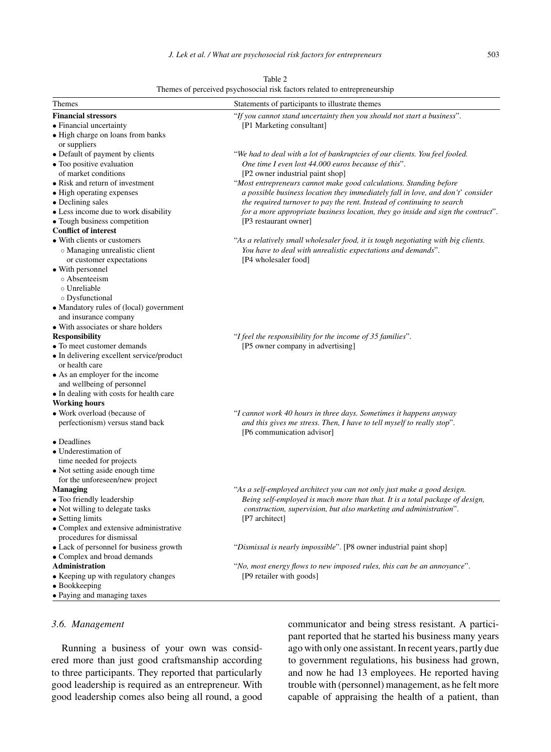| Table 2 |  |
|---------|--|
|         |  |

| Themes                                    | Statements of participants to illustrate themes                                   |  |  |
|-------------------------------------------|-----------------------------------------------------------------------------------|--|--|
| <b>Financial stressors</b>                | "If you cannot stand uncertainty then you should not start a business".           |  |  |
| • Financial uncertainty                   | [P1 Marketing consultant]                                                         |  |  |
| · High charge on loans from banks         |                                                                                   |  |  |
| or suppliers                              |                                                                                   |  |  |
| • Default of payment by clients           | "We had to deal with a lot of bankruptcies of our clients. You feel fooled.       |  |  |
| • Too positive evaluation                 | One time I even lost 44.000 euros because of this".                               |  |  |
| of market conditions                      | [P2 owner industrial paint shop]                                                  |  |  |
| • Risk and return of investment           | "Most entrepreneurs cannot make good calculations. Standing before                |  |  |
| • High operating expenses                 | a possible business location they immediately fall in love, and don't' consider   |  |  |
| • Declining sales                         | the required turnover to pay the rent. Instead of continuing to search            |  |  |
| • Less income due to work disability      | for a more appropriate business location, they go inside and sign the contract".  |  |  |
| • Tough business competition              | [P3 restaurant owner]                                                             |  |  |
| <b>Conflict of interest</b>               |                                                                                   |  |  |
| • With clients or customers               | "As a relatively small wholesaler food, it is tough negotiating with big clients. |  |  |
| • Managing unrealistic client             | You have to deal with unrealistic expectations and demands".                      |  |  |
| or customer expectations                  | [P4 wholesaler food]                                                              |  |  |
| • With personnel                          |                                                                                   |  |  |
| o Absenteeism                             |                                                                                   |  |  |
| ○ Unreliable                              |                                                                                   |  |  |
| o Dysfunctional                           |                                                                                   |  |  |
| • Mandatory rules of (local) government   |                                                                                   |  |  |
| and insurance company                     |                                                                                   |  |  |
| • With associates or share holders        |                                                                                   |  |  |
| <b>Responsibility</b>                     | "I feel the responsibility for the income of 35 families".                        |  |  |
| • To meet customer demands                | [P5 owner company in advertising]                                                 |  |  |
| • In delivering excellent service/product |                                                                                   |  |  |
| or health care                            |                                                                                   |  |  |
| • As an employer for the income           |                                                                                   |  |  |
| and wellbeing of personnel                |                                                                                   |  |  |
| • In dealing with costs for health care   |                                                                                   |  |  |
| <b>Working hours</b>                      |                                                                                   |  |  |
| • Work overload (because of               | "I cannot work 40 hours in three days. Sometimes it happens anyway                |  |  |
| perfectionism) versus stand back          | and this gives me stress. Then, I have to tell myself to really stop".            |  |  |
|                                           | [P6 communication advisor]                                                        |  |  |
| • Deadlines                               |                                                                                   |  |  |
| • Underestimation of                      |                                                                                   |  |  |
| time needed for projects                  |                                                                                   |  |  |
| • Not setting aside enough time           |                                                                                   |  |  |
| for the unforeseen/new project            |                                                                                   |  |  |
| <b>Managing</b>                           | "As a self-employed architect you can not only just make a good design.           |  |  |
| • Too friendly leadership                 | Being self-employed is much more than that. It is a total package of design,      |  |  |
| • Not willing to delegate tasks           | construction, supervision, but also marketing and administration".                |  |  |
| • Setting limits                          | [P7 architect]                                                                    |  |  |
| • Complex and extensive administrative    |                                                                                   |  |  |
| procedures for dismissal                  |                                                                                   |  |  |
| • Lack of personnel for business growth   | "Dismissal is nearly impossible". [P8 owner industrial paint shop]                |  |  |
| • Complex and broad demands               |                                                                                   |  |  |
| <b>Administration</b>                     | "No, most energy flows to new imposed rules, this can be an annoyance".           |  |  |
| • Keeping up with regulatory changes      | [P9 retailer with goods]                                                          |  |  |
| • Bookkeeping                             |                                                                                   |  |  |
| • Paying and managing taxes               |                                                                                   |  |  |

# *3.6. Management*

Running a business of your own was considered more than just good craftsmanship according to three participants. They reported that particularly good leadership is required as an entrepreneur. With good leadership comes also being all round, a good communicator and being stress resistant. A participant reported that he started his business many years ago with only one assistant. In recent years, partly due to government regulations, his business had grown, and now he had 13 employees. He reported having trouble with (personnel) management, as he felt more capable of appraising the health of a patient, than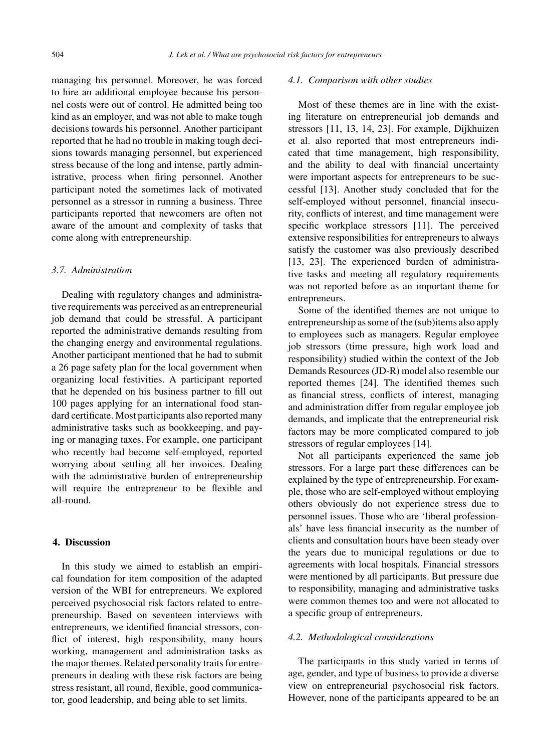managing his personnel. Moreover, he was forced to hire an additional employee because his personnel costs were out of control. He admitted being too kind as an employer, and was not able to make tough decisions towards his personnel. Another participant reported that he had no trouble in making tough decisions towards managing personnel, but experienced stress because of the long and intense, partly administrative, process when firing personnel. Another participant noted the sometimes lack of motivated personnel as a stressor in running a business. Three participants reported that newcomers are often not aware of the amount and complexity of tasks that come along with entrepreneurship.

#### *3.7. Administration*

Dealing with regulatory changes and administrative requirements was perceived as an entrepreneurial job demand that could be stressful. A participant reported the administrative demands resulting from the changing energy and environmental regulations. Another participant mentioned that he had to submit a 26 page safety plan for the local government when organizing local festivities. A participant reported that he depended on his business partner to fill out 100 pages applying for an international food standard certificate. Most participants also reported many administrative tasks such as bookkeeping, and paying or managing taxes. For example, one participant who recently had become self-employed, reported worrying about settling all her invoices. Dealing with the administrative burden of entrepreneurship will require the entrepreneur to be flexible and all-round.

#### **4. Discussion**

In this study we aimed to establish an empirical foundation for item composition of the adapted version of the WBI for entrepreneurs. We explored perceived psychosocial risk factors related to entrepreneurship. Based on seventeen interviews with entrepreneurs, we identified financial stressors, conflict of interest, high responsibility, many hours working, management and administration tasks as the major themes. Related personality traits for entrepreneurs in dealing with these risk factors are being stress resistant, all round, flexible, good communicator, good leadership, and being able to set limits.

#### *4.1. Comparison with other studies*

Most of these themes are in line with the existing literature on entrepreneurial job demands and stressors [11, 13, 14, 23]. For example, Dijkhuizen et al. also reported that most entrepreneurs indicated that time management, high responsibility, and the ability to deal with financial uncertainty were important aspects for entrepreneurs to be successful [13]. Another study concluded that for the self-employed without personnel, financial insecurity, conflicts of interest, and time management were specific workplace stressors [11]. The perceived extensive responsibilities for entrepreneurs to always satisfy the customer was also previously described [13, 23]. The experienced burden of administrative tasks and meeting all regulatory requirements was not reported before as an important theme for entrepreneurs.

Some of the identified themes are not unique to entrepreneurship as some of the (sub)items also apply to employees such as managers. Regular employee job stressors (time pressure, high work load and responsibility) studied within the context of the Job Demands Resources (JD-R) model also resemble our reported themes [24]. The identified themes such as financial stress, conflicts of interest, managing and administration differ from regular employee job demands, and implicate that the entrepreneurial risk factors may be more complicated compared to job stressors of regular employees [14].

Not all participants experienced the same job stressors. For a large part these differences can be explained by the type of entrepreneurship. For example, those who are self-employed without employing others obviously do not experience stress due to personnel issues. Those who are 'liberal professionals' have less financial insecurity as the number of clients and consultation hours have been steady over the years due to municipal regulations or due to agreements with local hospitals. Financial stressors were mentioned by all participants. But pressure due to responsibility, managing and administrative tasks were common themes too and were not allocated to a specific group of entrepreneurs.

## *4.2. Methodological considerations*

The participants in this study varied in terms of age, gender, and type of business to provide a diverse view on entrepreneurial psychosocial risk factors. However, none of the participants appeared to be an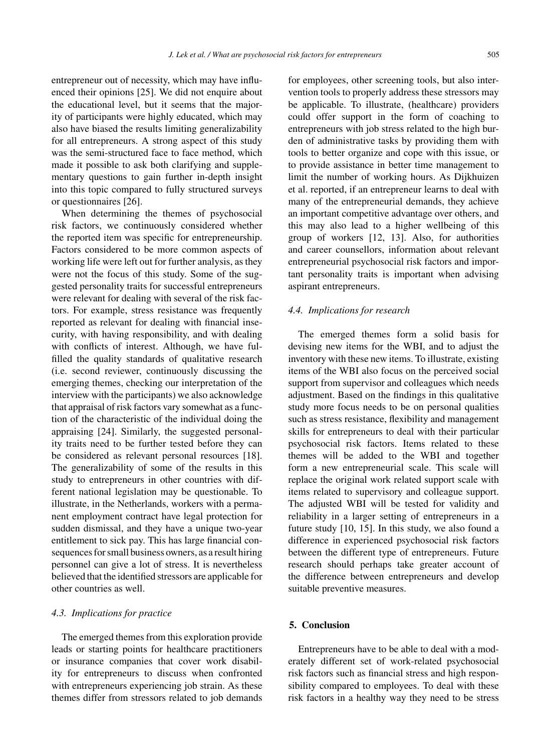entrepreneur out of necessity, which may have influenced their opinions [25]. We did not enquire about the educational level, but it seems that the majority of participants were highly educated, which may also have biased the results limiting generalizability for all entrepreneurs. A strong aspect of this study was the semi-structured face to face method, which made it possible to ask both clarifying and supplementary questions to gain further in-depth insight into this topic compared to fully structured surveys or questionnaires [26].

When determining the themes of psychosocial risk factors, we continuously considered whether the reported item was specific for entrepreneurship. Factors considered to be more common aspects of working life were left out for further analysis, as they were not the focus of this study. Some of the suggested personality traits for successful entrepreneurs were relevant for dealing with several of the risk factors. For example, stress resistance was frequently reported as relevant for dealing with financial insecurity, with having responsibility, and with dealing with conflicts of interest. Although, we have fulfilled the quality standards of qualitative research (i.e. second reviewer, continuously discussing the emerging themes, checking our interpretation of the interview with the participants) we also acknowledge that appraisal of risk factors vary somewhat as a function of the characteristic of the individual doing the appraising [24]. Similarly, the suggested personality traits need to be further tested before they can be considered as relevant personal resources [18]. The generalizability of some of the results in this study to entrepreneurs in other countries with different national legislation may be questionable. To illustrate, in the Netherlands, workers with a permanent employment contract have legal protection for sudden dismissal, and they have a unique two-year entitlement to sick pay. This has large financial consequences for small business owners, as a result hiring personnel can give a lot of stress. It is nevertheless believed that the identified stressors are applicable for other countries as well.

#### *4.3. Implications for practice*

The emerged themes from this exploration provide leads or starting points for healthcare practitioners or insurance companies that cover work disability for entrepreneurs to discuss when confronted with entrepreneurs experiencing job strain. As these themes differ from stressors related to job demands for employees, other screening tools, but also intervention tools to properly address these stressors may be applicable. To illustrate, (healthcare) providers could offer support in the form of coaching to entrepreneurs with job stress related to the high burden of administrative tasks by providing them with tools to better organize and cope with this issue, or to provide assistance in better time management to limit the number of working hours. As Dijkhuizen et al. reported, if an entrepreneur learns to deal with many of the entrepreneurial demands, they achieve an important competitive advantage over others, and this may also lead to a higher wellbeing of this group of workers [12, 13]. Also, for authorities and career counsellors, information about relevant entrepreneurial psychosocial risk factors and important personality traits is important when advising aspirant entrepreneurs.

#### *4.4. Implications for research*

The emerged themes form a solid basis for devising new items for the WBI, and to adjust the inventory with these new items. To illustrate, existing items of the WBI also focus on the perceived social support from supervisor and colleagues which needs adjustment. Based on the findings in this qualitative study more focus needs to be on personal qualities such as stress resistance, flexibility and management skills for entrepreneurs to deal with their particular psychosocial risk factors. Items related to these themes will be added to the WBI and together form a new entrepreneurial scale. This scale will replace the original work related support scale with items related to supervisory and colleague support. The adjusted WBI will be tested for validity and reliability in a larger setting of entrepreneurs in a future study [10, 15]. In this study, we also found a difference in experienced psychosocial risk factors between the different type of entrepreneurs. Future research should perhaps take greater account of the difference between entrepreneurs and develop suitable preventive measures.

#### **5. Conclusion**

Entrepreneurs have to be able to deal with a moderately different set of work-related psychosocial risk factors such as financial stress and high responsibility compared to employees. To deal with these risk factors in a healthy way they need to be stress